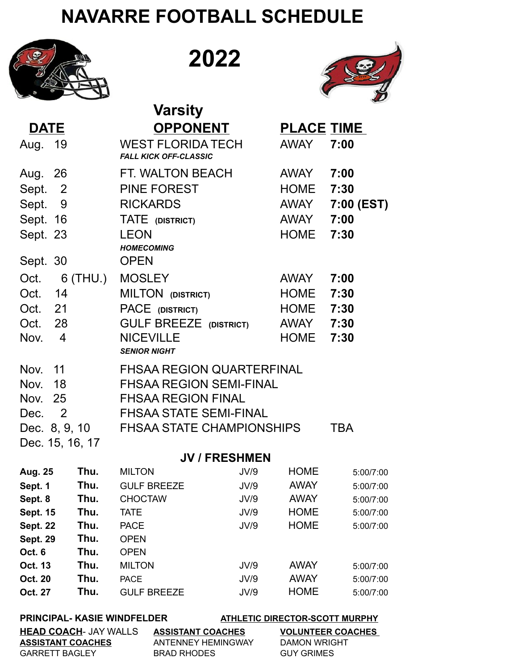## **NAVARRE FOOTBALL SCHEDULE**



**HEAD COACH**- JAY WALLS

**2022**



**ASSISTANT COACHES VOLUNTEER COACHES ASSISTANT COACHES** ANTENNEY HEMINGWAY DAMON WRIGHT GARRETT BAGLEY BRAD RHODES GUY GRIMES